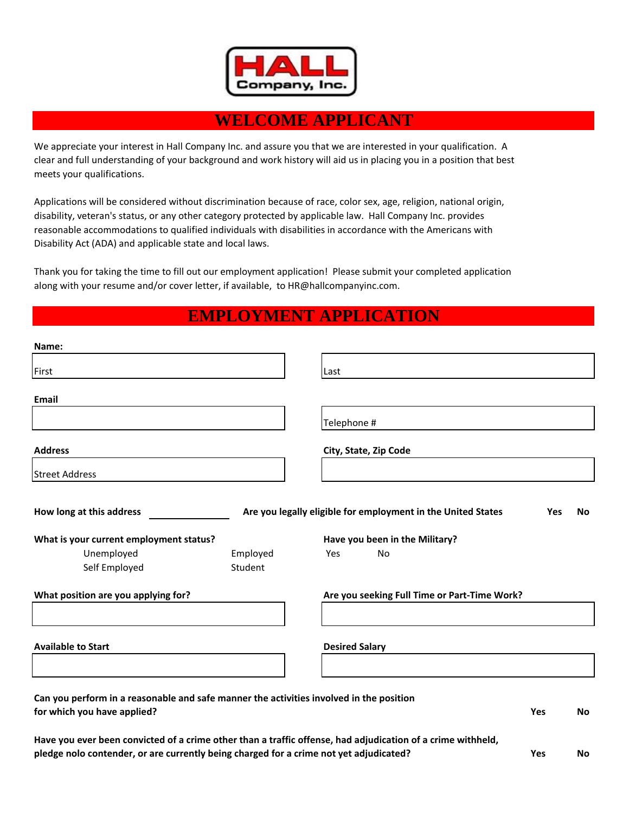

## **WELCOME APPLICANT**

We appreciate your interest in Hall Company Inc. and assure you that we are interested in your qualification. A clear and full understanding of your background and work history will aid us in placing you in a position that best meets your qualifications.

Applications will be considered without discrimination because of race, color sex, age, religion, national origin, disability, veteran's status, or any other category protected by applicable law. Hall Company Inc. provides reasonable accommodations to qualified individuals with disabilities in accordance with the Americans with Disability Act (ADA) and applicable state and local laws.

Thank you for taking the time to fill out our employment application! Please submit your completed application along with your resume and/or cover letter, if available, to HR@hallcompanyinc.com.

## **EMPLOYMENT APPLICATION**

| Name:                                                                                                                  |                     |                                                              |            |           |
|------------------------------------------------------------------------------------------------------------------------|---------------------|--------------------------------------------------------------|------------|-----------|
| First                                                                                                                  |                     | Last                                                         |            |           |
| Email                                                                                                                  |                     |                                                              |            |           |
|                                                                                                                        |                     | Telephone #                                                  |            |           |
| <b>Address</b>                                                                                                         |                     | City, State, Zip Code                                        |            |           |
| <b>Street Address</b>                                                                                                  |                     |                                                              |            |           |
| How long at this address                                                                                               |                     | Are you legally eligible for employment in the United States | Yes        | <b>No</b> |
| What is your current employment status?                                                                                |                     | Have you been in the Military?                               |            |           |
| Unemployed<br>Self Employed                                                                                            | Employed<br>Student | Yes<br>No                                                    |            |           |
| What position are you applying for?                                                                                    |                     | Are you seeking Full Time or Part-Time Work?                 |            |           |
| <b>Available to Start</b>                                                                                              |                     | <b>Desired Salary</b>                                        |            |           |
|                                                                                                                        |                     |                                                              |            |           |
| Can you perform in a reasonable and safe manner the activities involved in the position<br>for which you have applied? |                     |                                                              | <b>Yes</b> | <b>No</b> |

**Have you ever been convicted of a crime other than a traffic offense, had adjudication of a crime withheld, pledge nolo contender, or are currently being charged for a crime not yet adjudicated? Yes No**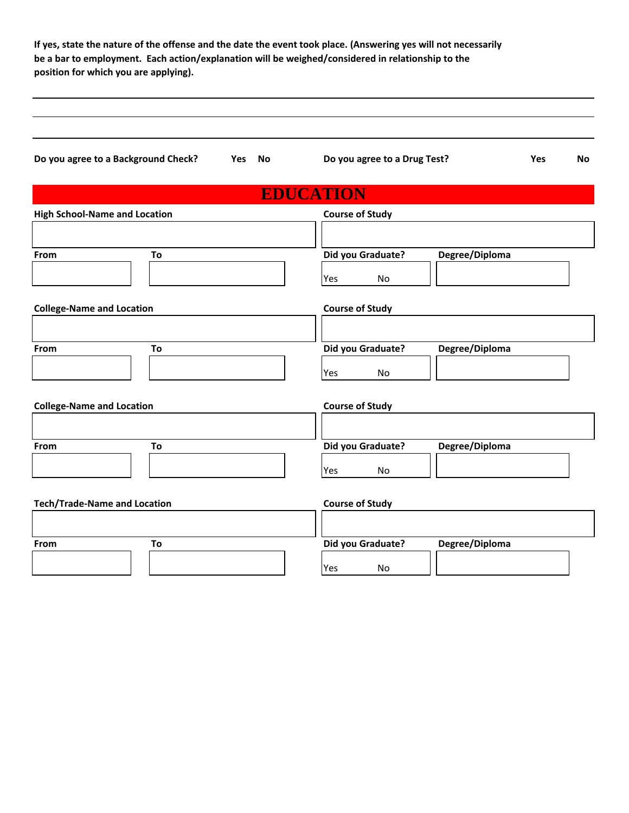**If yes, state the nature of the offense and the date the event took place. (Answering yes will not necessarily be a bar to employment. Each action/explanation will be weighed/considered in relationship to the position for which you are applying).**

| Do you agree to a Background Check? Yes No | Do you agree to a Drug Test?   | <b>Yes</b><br><b>No</b> |
|--------------------------------------------|--------------------------------|-------------------------|
|                                            | <b>EDUCATION</b>               |                         |
| <b>High School-Name and Location</b>       | <b>Course of Study</b>         |                         |
| To<br>From                                 | Did you Graduate?<br>Yes<br>No | Degree/Diploma          |
| <b>College-Name and Location</b>           | <b>Course of Study</b>         |                         |
| To<br>From                                 | Did you Graduate?<br>No<br>Yes | Degree/Diploma          |
| <b>College-Name and Location</b>           | <b>Course of Study</b>         |                         |
| From<br>To                                 | Did you Graduate?<br>No<br>Yes | Degree/Diploma          |
| <b>Tech/Trade-Name and Location</b>        | <b>Course of Study</b>         |                         |
| To<br>From                                 | Did you Graduate?<br>No<br>Yes | Degree/Diploma          |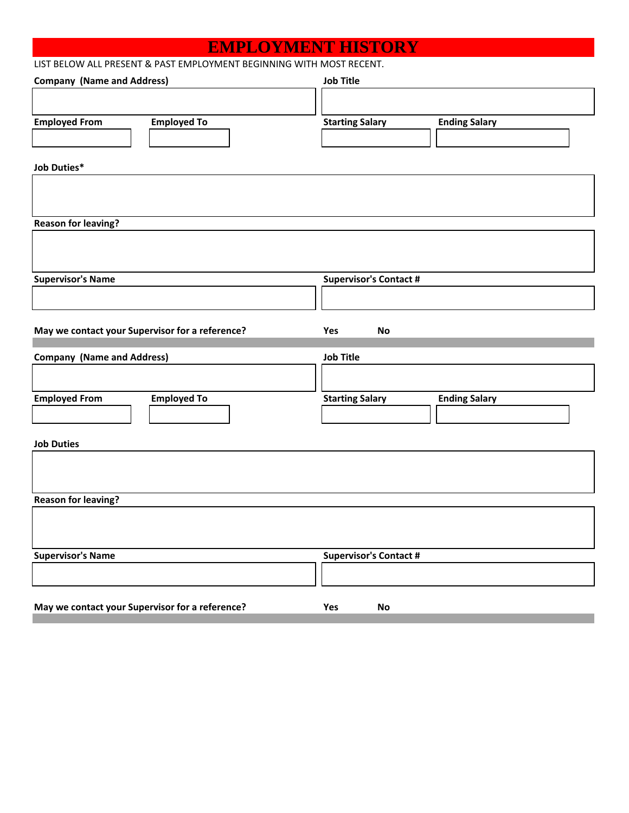## **EMPLOYMENT HISTORY**

| LIST BELOW ALL PRESENT & PAST EMPLOYMENT BEGINNING WITH MOST RECENT. |  |
|----------------------------------------------------------------------|--|
|----------------------------------------------------------------------|--|

| <b>Company (Name and Address)</b>               | <b>Job Title</b>                               |
|-------------------------------------------------|------------------------------------------------|
|                                                 |                                                |
| <b>Employed From</b><br><b>Employed To</b>      | <b>Starting Salary</b><br><b>Ending Salary</b> |
|                                                 |                                                |
| <b>Job Duties*</b>                              |                                                |
|                                                 |                                                |
|                                                 |                                                |
| <b>Reason for leaving?</b>                      |                                                |
|                                                 |                                                |
|                                                 |                                                |
| <b>Supervisor's Name</b>                        | <b>Supervisor's Contact #</b>                  |
|                                                 |                                                |
|                                                 |                                                |
| May we contact your Supervisor for a reference? | Yes<br>No                                      |
|                                                 |                                                |
| <b>Company (Name and Address)</b>               | <b>Job Title</b>                               |
|                                                 |                                                |
| <b>Employed From</b><br><b>Employed To</b>      | <b>Starting Salary</b><br><b>Ending Salary</b> |
|                                                 |                                                |
| <b>Job Duties</b>                               |                                                |
|                                                 |                                                |
|                                                 |                                                |
| <b>Reason for leaving?</b>                      |                                                |
|                                                 |                                                |
|                                                 |                                                |
| <b>Supervisor's Name</b>                        | <b>Supervisor's Contact #</b>                  |
|                                                 |                                                |
|                                                 |                                                |
| May we contact your Supervisor for a reference? | Yes<br>No                                      |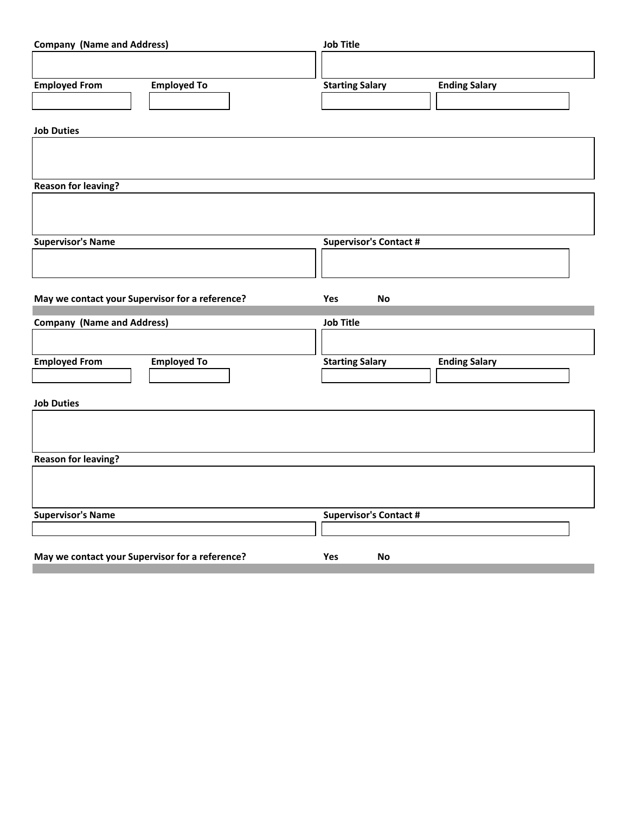| <b>Company (Name and Address)</b>               | <b>Job Title</b>                               |
|-------------------------------------------------|------------------------------------------------|
|                                                 |                                                |
| <b>Employed To</b><br><b>Employed From</b>      | <b>Starting Salary</b><br><b>Ending Salary</b> |
|                                                 |                                                |
| <b>Job Duties</b>                               |                                                |
|                                                 |                                                |
|                                                 |                                                |
| <b>Reason for leaving?</b>                      |                                                |
|                                                 |                                                |
|                                                 |                                                |
| <b>Supervisor's Name</b>                        | <b>Supervisor's Contact #</b>                  |
|                                                 |                                                |
|                                                 |                                                |
|                                                 |                                                |
| May we contact your Supervisor for a reference? | <b>No</b><br>Yes                               |
|                                                 | <b>Job Title</b>                               |
| <b>Company (Name and Address)</b>               |                                                |
|                                                 |                                                |
| <b>Employed From</b><br><b>Employed To</b>      | <b>Starting Salary</b><br><b>Ending Salary</b> |
|                                                 |                                                |
| <b>Job Duties</b>                               |                                                |
|                                                 |                                                |
|                                                 |                                                |
| <b>Reason for leaving?</b>                      |                                                |
|                                                 |                                                |
|                                                 |                                                |
| <b>Supervisor's Name</b>                        | <b>Supervisor's Contact #</b>                  |
|                                                 |                                                |

n.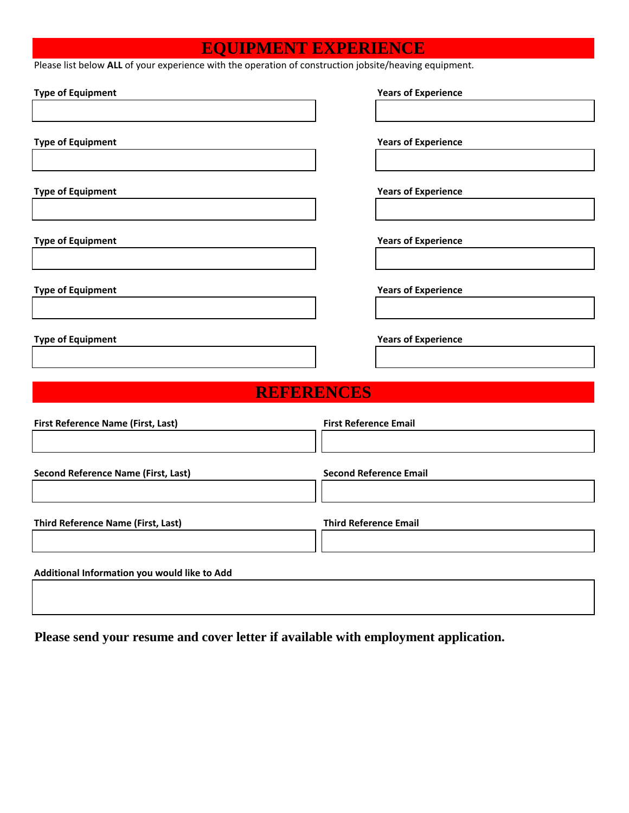## **EQUIPMENT EXPERIENCE**

Please list below ALL of your experience with the operation of construction jobsite/heaving equipment.

| <b>Type of Equipment</b>                     | <b>Years of Experience</b>    |
|----------------------------------------------|-------------------------------|
|                                              |                               |
| <b>Type of Equipment</b>                     | <b>Years of Experience</b>    |
|                                              |                               |
| <b>Type of Equipment</b>                     | <b>Years of Experience</b>    |
|                                              |                               |
| <b>Type of Equipment</b>                     | <b>Years of Experience</b>    |
|                                              |                               |
| <b>Type of Equipment</b>                     | <b>Years of Experience</b>    |
|                                              |                               |
| <b>Type of Equipment</b>                     | <b>Years of Experience</b>    |
|                                              |                               |
| <b>REFERENCES</b>                            |                               |
| First Reference Name (First, Last)           | <b>First Reference Email</b>  |
|                                              |                               |
| <b>Second Reference Name (First, Last)</b>   | <b>Second Reference Email</b> |
|                                              |                               |
| <b>Third Reference Name (First, Last)</b>    | <b>Third Reference Email</b>  |
|                                              |                               |
| Additional Information you would like to Add |                               |
|                                              |                               |

**Please send your resume and cover letter if available with employment application.**